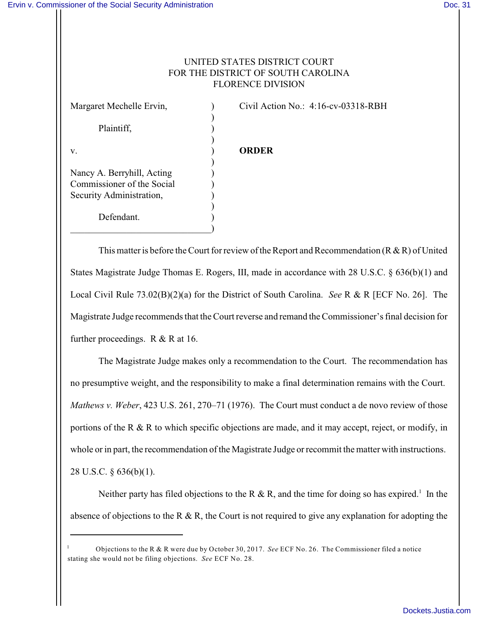## UNITED STATES DISTRICT COURT FOR THE DISTRICT OF SOUTH CAROLINA FLORENCE DIVISION

Plaintiff, (a)

Nancy A. Berryhill, Acting ) Commissioner of the Social ) Security Administration, )

 $\qquad \qquad \Box$ 

Defendant.

Margaret Mechelle Ervin, (a) Civil Action No.: 4:16-cv-03318-RBH

## v. ) **ORDER**

)

)

)

)

This matter is before the Court for review of the Report and Recommendation ( $R & R$ ) of United States Magistrate Judge Thomas E. Rogers, III, made in accordance with 28 U.S.C. § 636(b)(1) and Local Civil Rule 73.02(B)(2)(a) for the District of South Carolina. *See* R & R [ECF No. 26]. The Magistrate Judge recommends that the Court reverse and remand the Commissioner's final decision for further proceedings. R & R at 16.

The Magistrate Judge makes only a recommendation to the Court. The recommendation has no presumptive weight, and the responsibility to make a final determination remains with the Court. *Mathews v. Weber*, 423 U.S. 261, 270–71 (1976). The Court must conduct a de novo review of those portions of the R & R to which specific objections are made, and it may accept, reject, or modify, in whole or in part, the recommendation of the Magistrate Judge or recommit the matter with instructions. 28 U.S.C. § 636(b)(1).

Neither party has filed objections to the R & R, and the time for doing so has expired.<sup>1</sup> In the absence of objections to the R  $\&$  R, the Court is not required to give any explanation for adopting the

Objections to the R & R were due by October 30, 2017. *See* ECF No. 26. The Commissioner filed a notice 1 stating she would not be filing objections. *See* ECF No. 28.